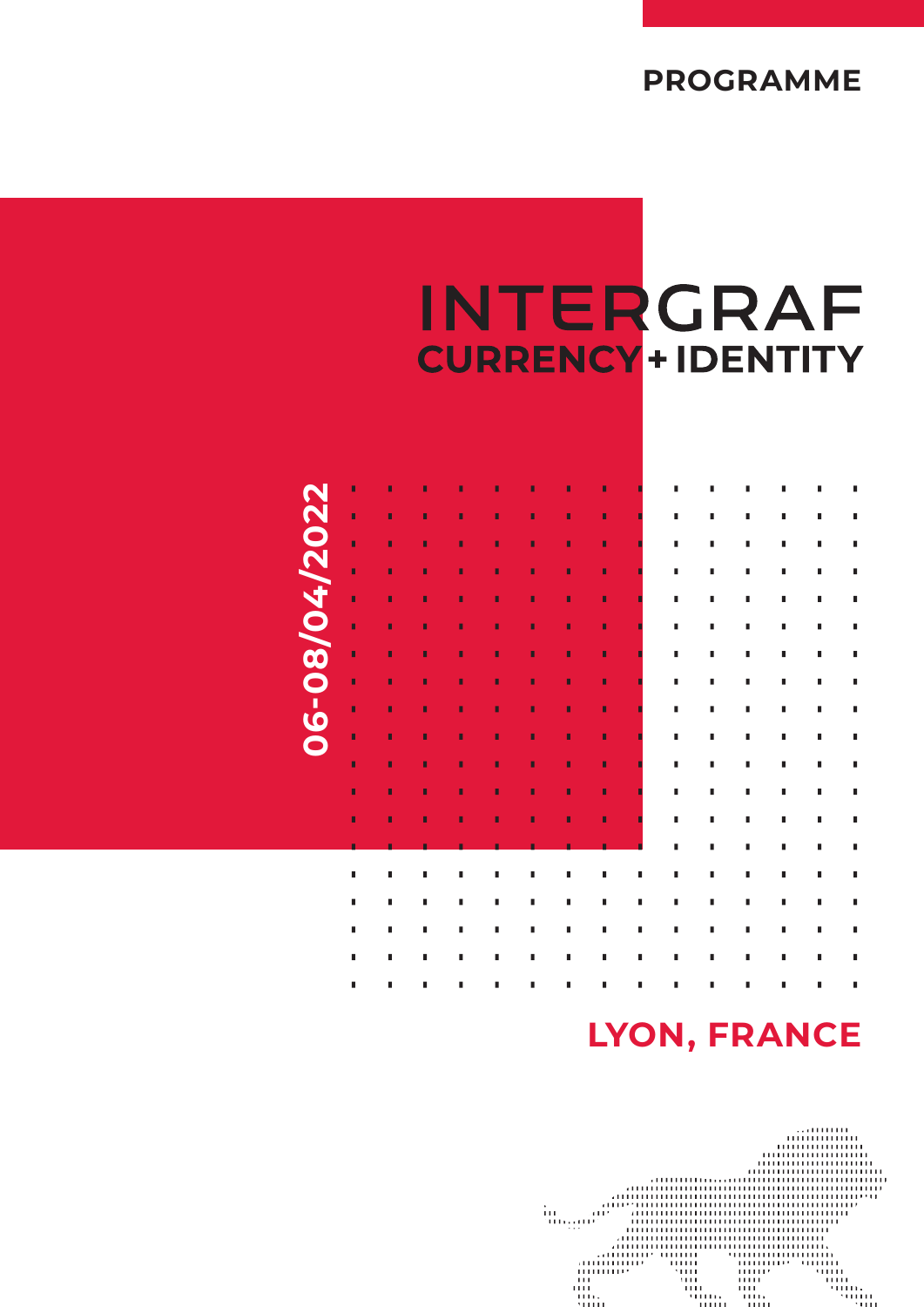**PROGRAMME**

# **INTERGRAF CURRENCY + IDENTITY**



# **LYON, FRANCE**

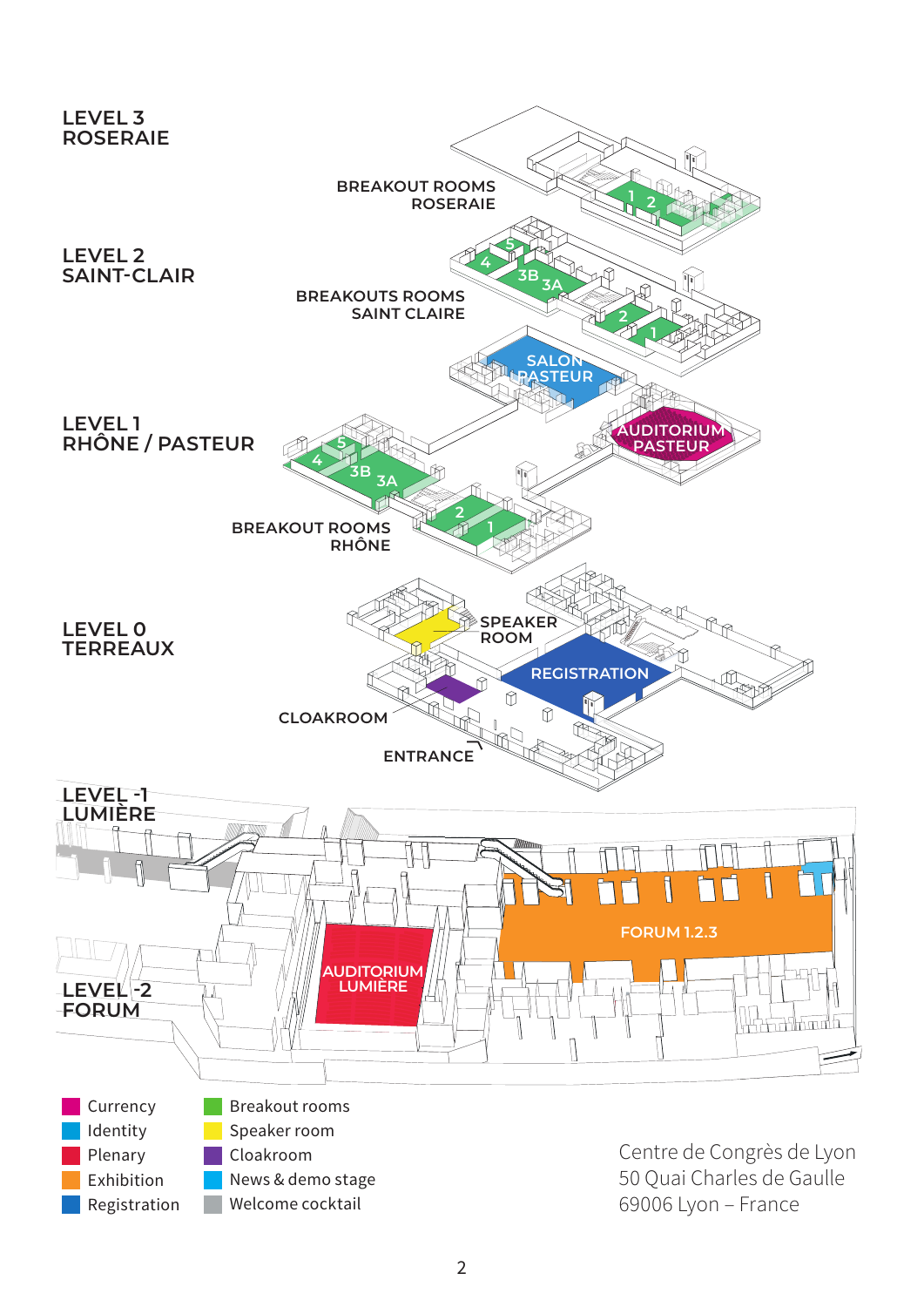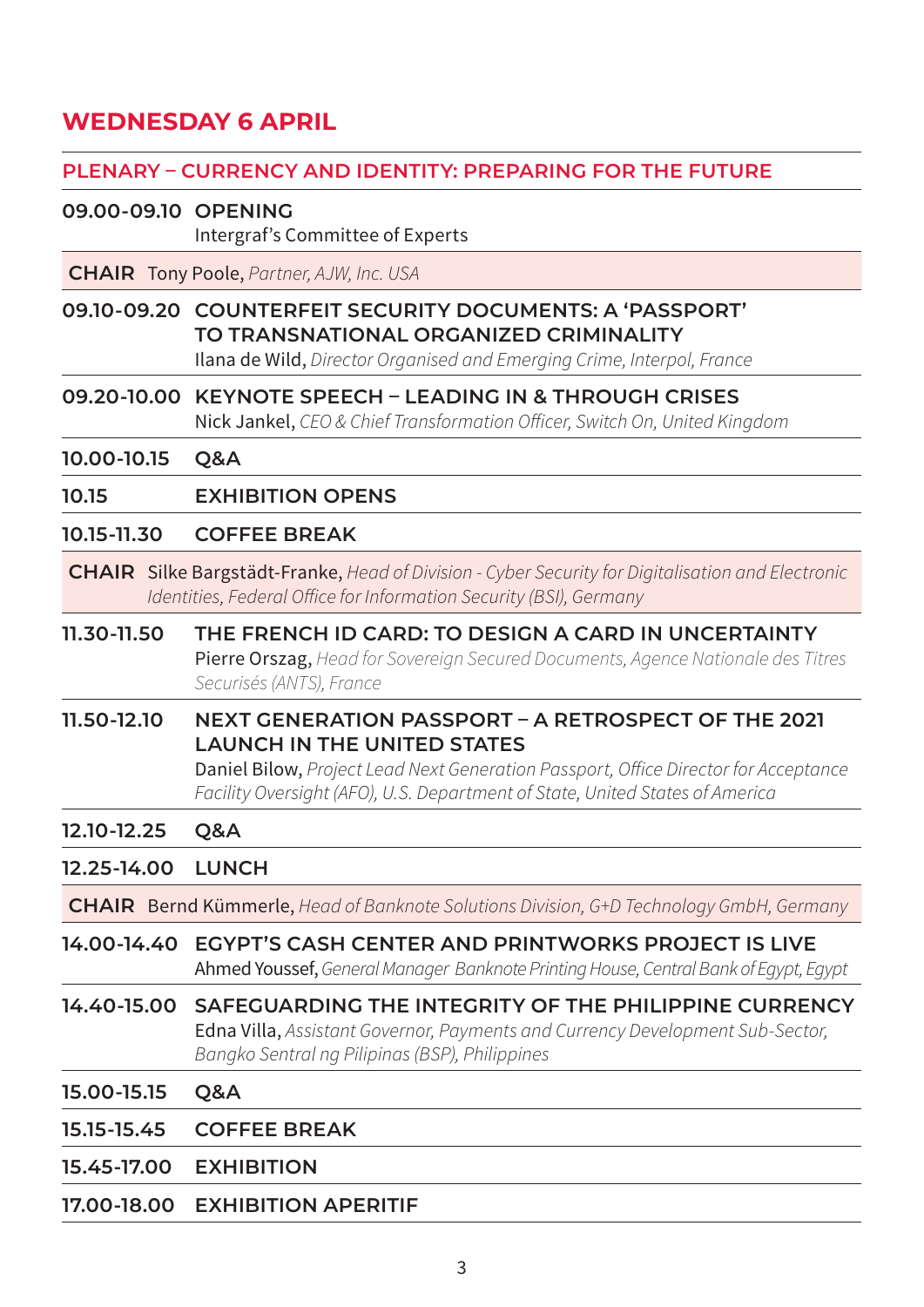# **WEDNESDAY 6 APRIL**

#### **PLENARY – CURRENCY AND IDENTITY: PREPARING FOR THE FUTURE**

#### **09.00-09.10 OPENING**

Intergraf's Committee of Experts

**CHAIR** Tony Poole, *Partner, AJW, Inc. USA* 

- **09.10-09.20 COUNTERFEIT SECURITY DOCUMENTS: A 'PASSPORT' TO TRANSNATIONAL ORGANIZED CRIMINALITY** Ilana de Wild, *Director Organised and Emerging Crime, Interpol, France*
- **09.20-10.00 KEYNOTE SPEECH LEADING IN & THROUGH CRISES** Nick Jankel, *CEO & Chief Transformation Officer, Switch On, United Kingdom*
- **10.00-10.15 Q&A**

#### **10.15 EXHIBITION OPENS**

#### **10.15-11.30 COFFEE BREAK**

**CHAIR** Silke Bargstädt-Franke, *Head of Division - Cyber Security for Digitalisation and Electronic Identities, Federal Office for Information Security (BSI), Germany* 

#### **11.30-11.50 THE FRENCH ID CARD: TO DESIGN A CARD IN UNCERTAINTY**  Pierre Orszag, *Head for Sovereign Secured Documents, Agence Nationale des Titres Securisés (ANTS), France*

**11.50-12.10 NEXT GENERATION PASSPORT – A RETROSPECT OF THE 2021 LAUNCH IN THE UNITED STATES** Daniel Bilow, *Project Lead Next Generation Passport, Office Director for Acceptance Facility Oversight (AFO), U.S. Department of State, United States of America*

**12.10-12.25 Q&A**

**12.25-14.00 LUNCH**

**CHAIR** Bernd Kümmerle, *Head of Banknote Solutions Division, G+D Technology GmbH, Germany*

- **14.00-14.40 EGYPT'S CASH CENTER AND PRINTWORKS PROJECT IS LIVE** Ahmed Youssef,*General Manager Banknote Printing House, Central Bank of Egypt, Egypt*
- **14.40-15.00 SAFEGUARDING THE INTEGRITY OF THE PHILIPPINE CURRENCY** Edna Villa, *Assistant Governor, Payments and Currency Development Sub-Sector, Bangko Sentral ng Pilipinas (BSP), Philippines*

**15.00-15.15 Q&A**

**15.15-15.45 COFFEE BREAK**

**15.45-17.00 EXHIBITION**

#### **17.00-18.00 EXHIBITION APERITIF**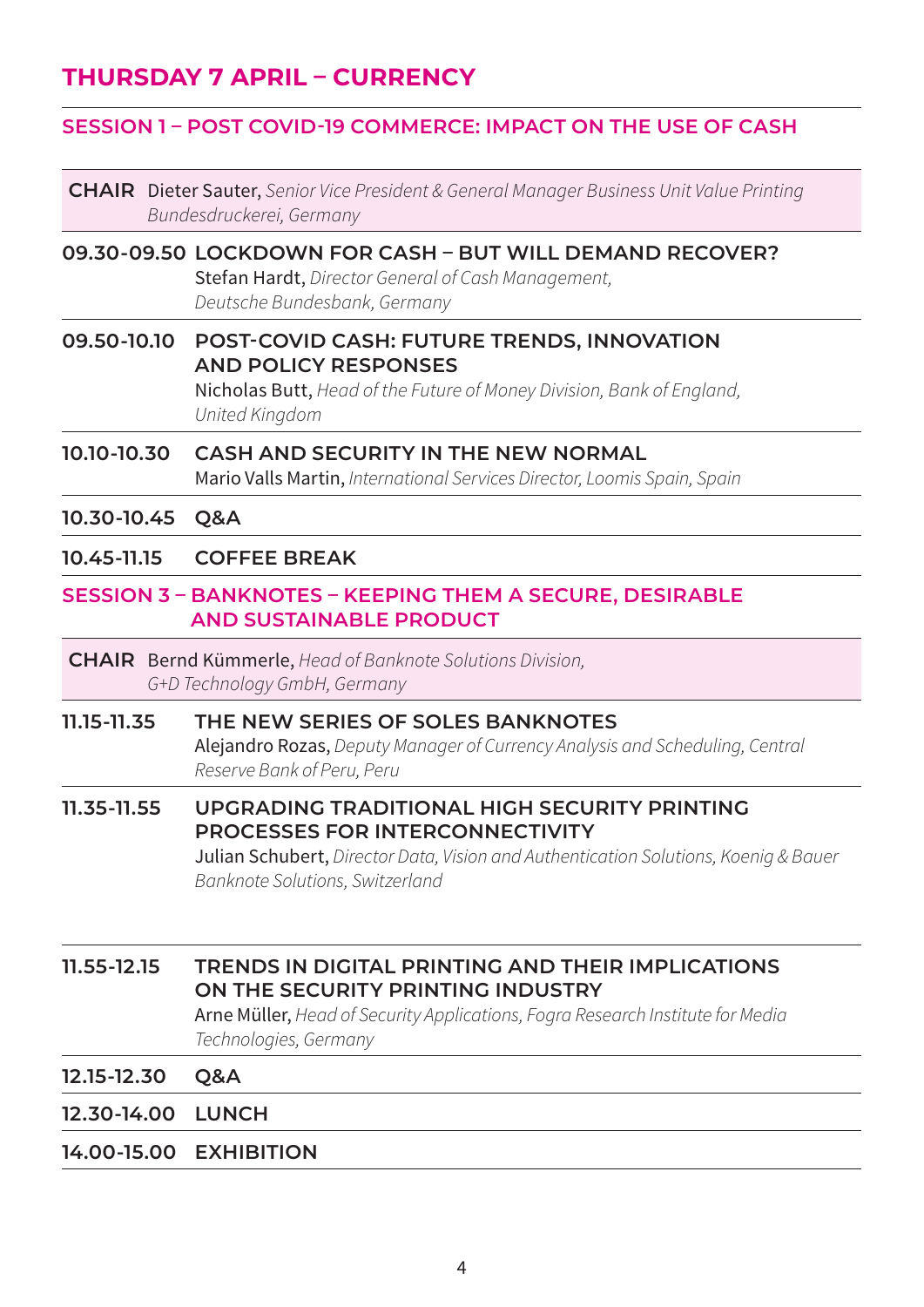# **THURSDAY 7 APRIL – CURRENCY**

#### **SESSION 1 – POST COVID-19 COMMERCE: IMPACT ON THE USE OF CASH**

**CHAIR** Dieter Sauter, *Senior Vice President & General Manager Business Unit Value Printing Bundesdruckerei, Germany*

#### **09.30-09.50 LOCKDOWN FOR CASH – BUT WILL DEMAND RECOVER?** Stefan Hardt, *Director General of Cash Management, Deutsche Bundesbank, Germany*

- **09.50-10.10 POST-COVID CASH: FUTURE TRENDS, INNOVATION AND POLICY RESPONSES** Nicholas Butt, *Head of the Future of Money Division, Bank of England, United Kingdom*
- **10.10-10.30 CASH AND SECURITY IN THE NEW NORMAL** Mario Valls Martin, *International Services Director, Loomis Spain, Spain*
- **10.30-10.45 Q&A**

#### **10.45-11.15 COFFEE BREAK**

#### **SESSION 3 – BANKNOTES – KEEPING THEM A SECURE, DESIRABLE AND SUSTAINABLE PRODUCT**

**CHAIR** Bernd Kümmerle, *Head of Banknote Solutions Division, G+D Technology GmbH, Germany*

#### **11.15-11.35 THE NEW SERIES OF SOLES BANKNOTES** Alejandro Rozas, *Deputy Manager of Currency Analysis and Scheduling, Central Reserve Bank of Peru, Peru*

#### **11.35-11.55 UPGRADING TRADITIONAL HIGH SECURITY PRINTING PROCESSES FOR INTERCONNECTIVITY** Julian Schubert, *Director Data, Vision and Authentication Solutions, Koenig & Bauer*

*Banknote Solutions, Switzerland*

#### **11.55-12.15 TRENDS IN DIGITAL PRINTING AND THEIR IMPLICATIONS ON THE SECURITY PRINTING INDUSTRY**

Arne Müller, *Head of Security Applications, Fogra Research Institute for Media Technologies, Germany*

#### **12.15-12.30 Q&A**

#### **12.30-14.00 LUNCH**

#### **14.00-15.00 EXHIBITION**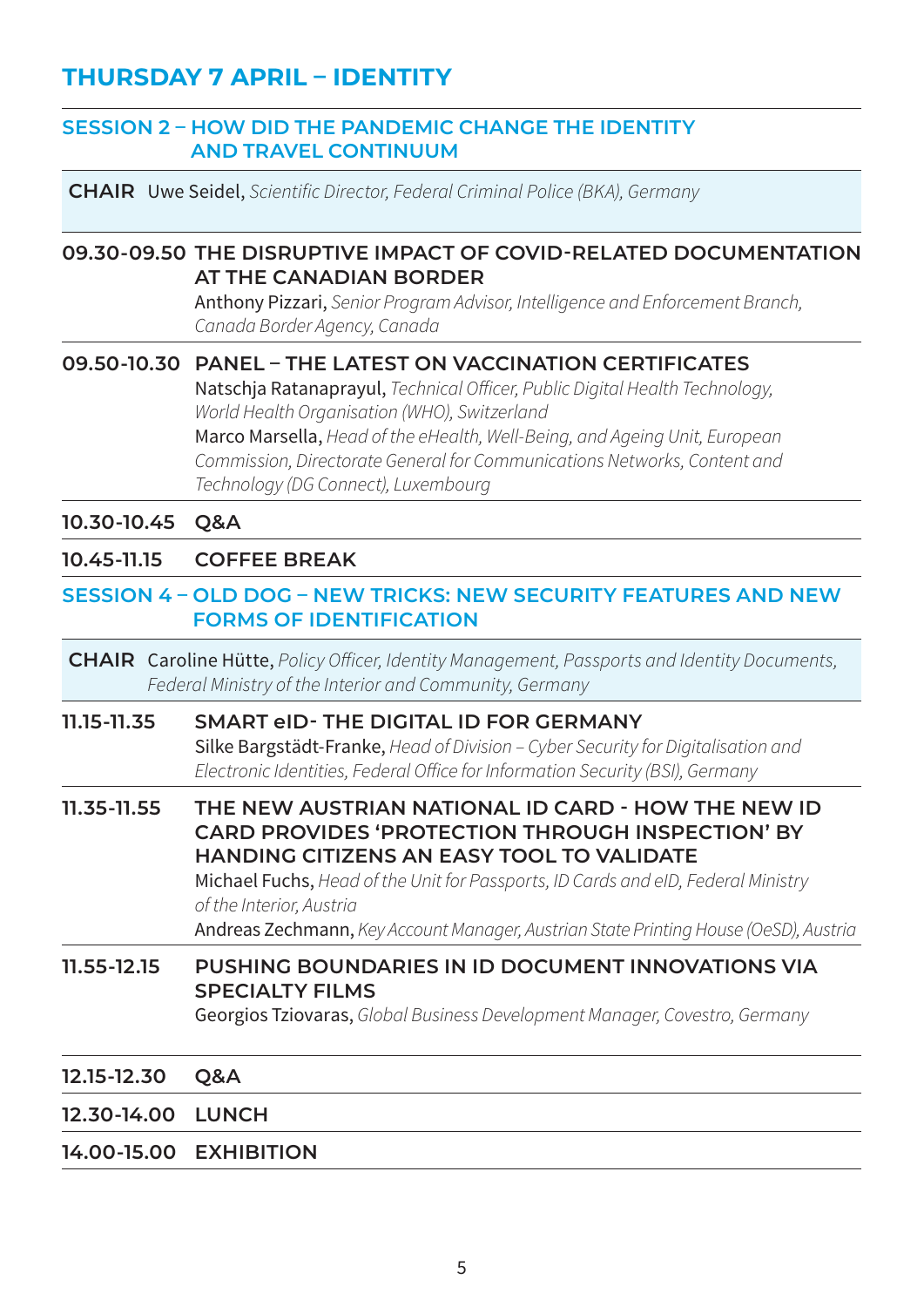# **THURSDAY 7 APRIL – IDENTITY**

#### **SESSION 2 – HOW DID THE PANDEMIC CHANGE THE IDENTITY AND TRAVEL CONTINUUM**

**CHAIR** Uwe Seidel, *Scientific Director, Federal Criminal Police (BKA), Germany*

#### **09.30-09.50 THE DISRUPTIVE IMPACT OF COVID-RELATED DOCUMENTATION AT THE CANADIAN BORDER**

Anthony Pizzari, *Senior Program Advisor, Intelligence and Enforcement Branch, Canada Border Agency, Canada*

#### **09.50-10.30 PANEL – THE LATEST ON VACCINATION CERTIFICATES**

Natschja Ratanaprayul, *Technical Officer, Public Digital Health Technology, World Health Organisation (WHO), Switzerland*

Marco Marsella, *Head of the eHealth, Well-Being, and Ageing Unit, European Commission, Directorate General for Communications Networks, Content and Technology (DG Connect), Luxembourg*

**10.30-10.45 Q&A**

#### **10.45-11.15 COFFEE BREAK**

#### **SESSION 4 – OLD DOG – NEW TRICKS: NEW SECURITY FEATURES AND NEW FORMS OF IDENTIFICATION**

**CHAIR** Caroline Hütte, *Policy Officer, Identity Management, Passports and Identity Documents, Federal Ministry of the Interior and Community, Germany*

#### **11.15-11.35 SMART eID- THE DIGITAL ID FOR GERMANY** Silke Bargstädt-Franke, *Head of Division – Cyber Security for Digitalisation and Electronic Identities, Federal Office for Information Security (BSI), Germany*

#### **11.35-11.55 THE NEW AUSTRIAN NATIONAL ID CARD - HOW THE NEW ID CARD PROVIDES 'PROTECTION THROUGH INSPECTION' BY HANDING CITIZENS AN EASY TOOL TO VALIDATE** Michael Fuchs, *Head of the Unit for Passports, ID Cards and eID, Federal Ministry*

*of the Interior, Austria*

Andreas Zechmann, *Key Account Manager, Austrian State Printing House (OeSD), Austria*

### **11.55-12.15 PUSHING BOUNDARIES IN ID DOCUMENT INNOVATIONS VIA SPECIALTY FILMS**

Georgios Tziovaras, *Global Business Development Manager, Covestro, Germany*

#### **12.15-12.30 Q&A**

#### **12.30-14.00 LUNCH**

#### **14.00-15.00 EXHIBITION**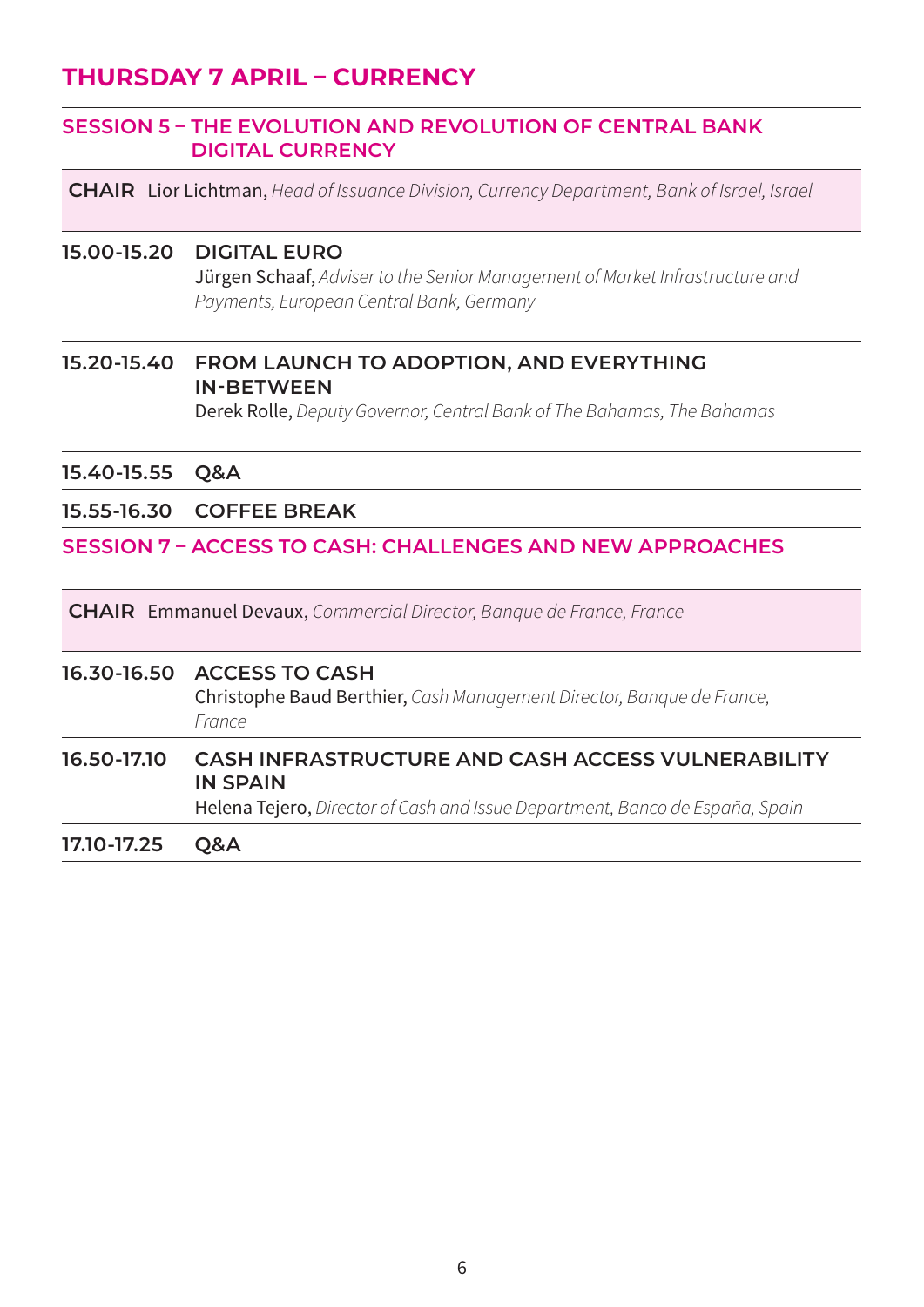# **THURSDAY 7 APRIL – CURRENCY**

#### **SESSION 5 – THE EVOLUTION AND REVOLUTION OF CENTRAL BANK DIGITAL CURRENCY**

**CHAIR** Lior Lichtman, *Head of Issuance Division, Currency Department, Bank of Israel, Israel*

#### **15.00-15.20 DIGITAL EURO**

Jürgen Schaaf, *Adviser to the Senior Management of Market Infrastructure and Payments, European Central Bank, Germany*

#### **15.20-15.40 FROM LAUNCH TO ADOPTION, AND EVERYTHING IN-BETWEEN**

Derek Rolle, *Deputy Governor, Central Bank of The Bahamas, The Bahamas*

**15.40-15.55 Q&A**

#### **15.55-16.30 COFFEE BREAK**

**SESSION 7 – ACCESS TO CASH: CHALLENGES AND NEW APPROACHES**

**CHAIR** Emmanuel Devaux, *Commercial Director, Banque de France, France*

#### **16.30-16.50 ACCESS TO CASH**

Christophe Baud Berthier, *Cash Management Director, Banque de France, France*

#### **16.50-17.10 CASH INFRASTRUCTURE AND CASH ACCESS VULNERABILITY IN SPAIN**

Helena Tejero, *Director of Cash and Issue Department, Banco de España, Spain*

**17.10-17.25 Q&A**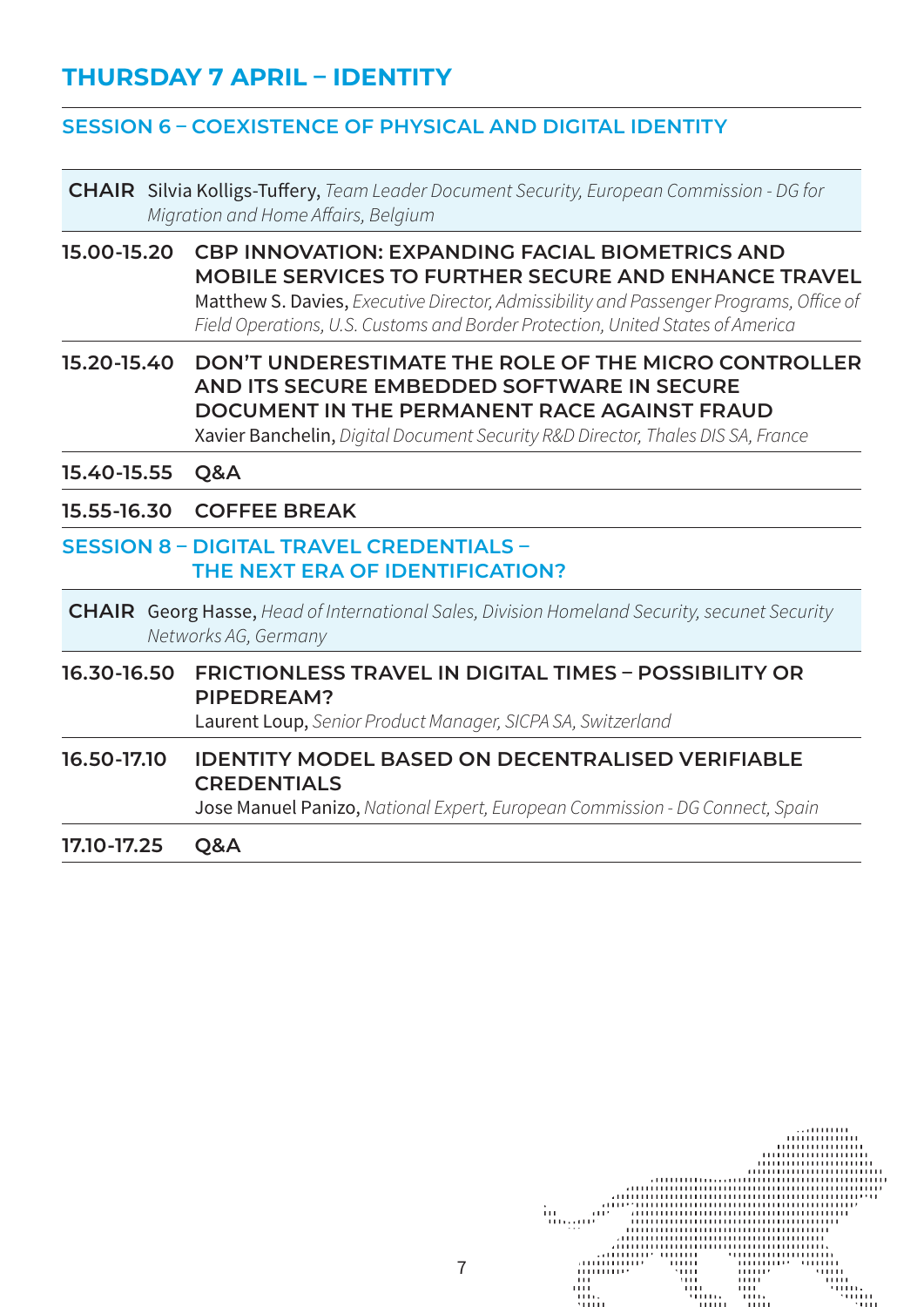# **THURSDAY 7 APRIL – IDENTITY**

#### **SESSION 6 – COEXISTENCE OF PHYSICAL AND DIGITAL IDENTITY**

**CHAIR** Silvia Kolligs-Tuffery, *Team Leader Document Security, European Commission - DG for Migration and Home Affairs, Belgium*

- **15.00-15.20 CBP INNOVATION: EXPANDING FACIAL BIOMETRICS AND MOBILE SERVICES TO FURTHER SECURE AND ENHANCE TRAVEL** Matthew S. Davies, *Executive Director, Admissibility and Passenger Programs, Office of Field Operations, U.S. Customs and Border Protection, United States of America*
- **15.20-15.40 DON'T UNDERESTIMATE THE ROLE OF THE MICRO CONTROLLER AND ITS SECURE EMBEDDED SOFTWARE IN SECURE DOCUMENT IN THE PERMANENT RACE AGAINST FRAUD** Xavier Banchelin, *Digital Document Security R&D Director, Thales DIS SA, France*
- **15.40-15.55 Q&A**

**15.55-16.30 COFFEE BREAK**

**SESSION 8 – DIGITAL TRAVEL CREDENTIALS – THE NEXT ERA OF IDENTIFICATION?**

**CHAIR** Georg Hasse, *Head of International Sales, Division Homeland Security, secunet Security Networks AG, Germany*

#### **16.30-16.50 FRICTIONLESS TRAVEL IN DIGITAL TIMES – POSSIBILITY OR PIPEDREAM?**

Laurent Loup, *Senior Product Manager, SICPA SA, Switzerland*

**16.50-17.10 IDENTITY MODEL BASED ON DECENTRALISED VERIFIABLE CREDENTIALS**

Jose Manuel Panizo, *National Expert, European Commission - DG Connect, Spain*

**17.10-17.25 Q&A**

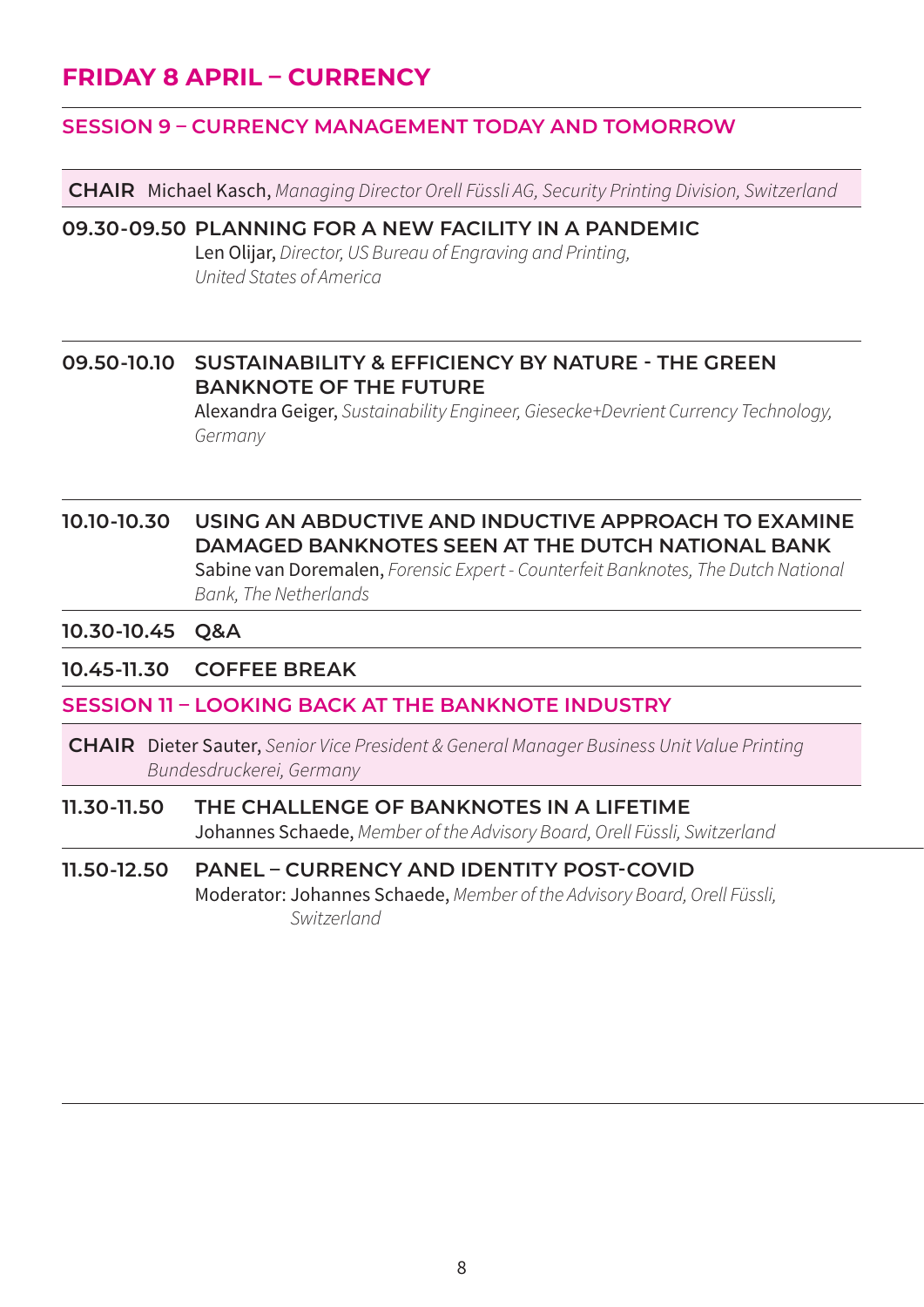# **FRIDAY 8 APRIL – CURRENCY**

#### **SESSION 9 – CURRENCY MANAGEMENT TODAY AND TOMORROW**

**CHAIR** Michael Kasch, *Managing Director Orell Füssli AG, Security Printing Division, Switzerland*

#### **09.30-09.50 PLANNING FOR A NEW FACILITY IN A PANDEMIC**

Len Olijar, *Director, US Bureau of Engraving and Printing, United States of America*

#### **09.50-10.10 SUSTAINABILITY & EFFICIENCY BY NATURE - THE GREEN BANKNOTE OF THE FUTURE**

Alexandra Geiger, *Sustainability Engineer, Giesecke+Devrient Currency Technology, Germany*

**10.10-10.30 USING AN ABDUCTIVE AND INDUCTIVE APPROACH TO EXAMINE DAMAGED BANKNOTES SEEN AT THE DUTCH NATIONAL BANK** Sabine van Doremalen, *Forensic Expert - Counterfeit Banknotes, The Dutch National* 

*Bank, The Netherlands*

#### **10.30-10.45 Q&A**

#### **10.45-11.30 COFFEE BREAK**

#### **SESSION 11 – LOOKING BACK AT THE BANKNOTE INDUSTRY**

**CHAIR** Dieter Sauter, *Senior Vice President & General Manager Business Unit Value Printing Bundesdruckerei, Germany*

#### **11.30-11.50 THE CHALLENGE OF BANKNOTES IN A LIFETIME** Johannes Schaede, *Member of the Advisory Board, Orell Füssli, Switzerland*

#### **11.50-12.50 PANEL – CURRENCY AND IDENTITY POST-COVID** Moderator: Johannes Schaede, *Member of the Advisory Board, Orell Füssli, Switzerland*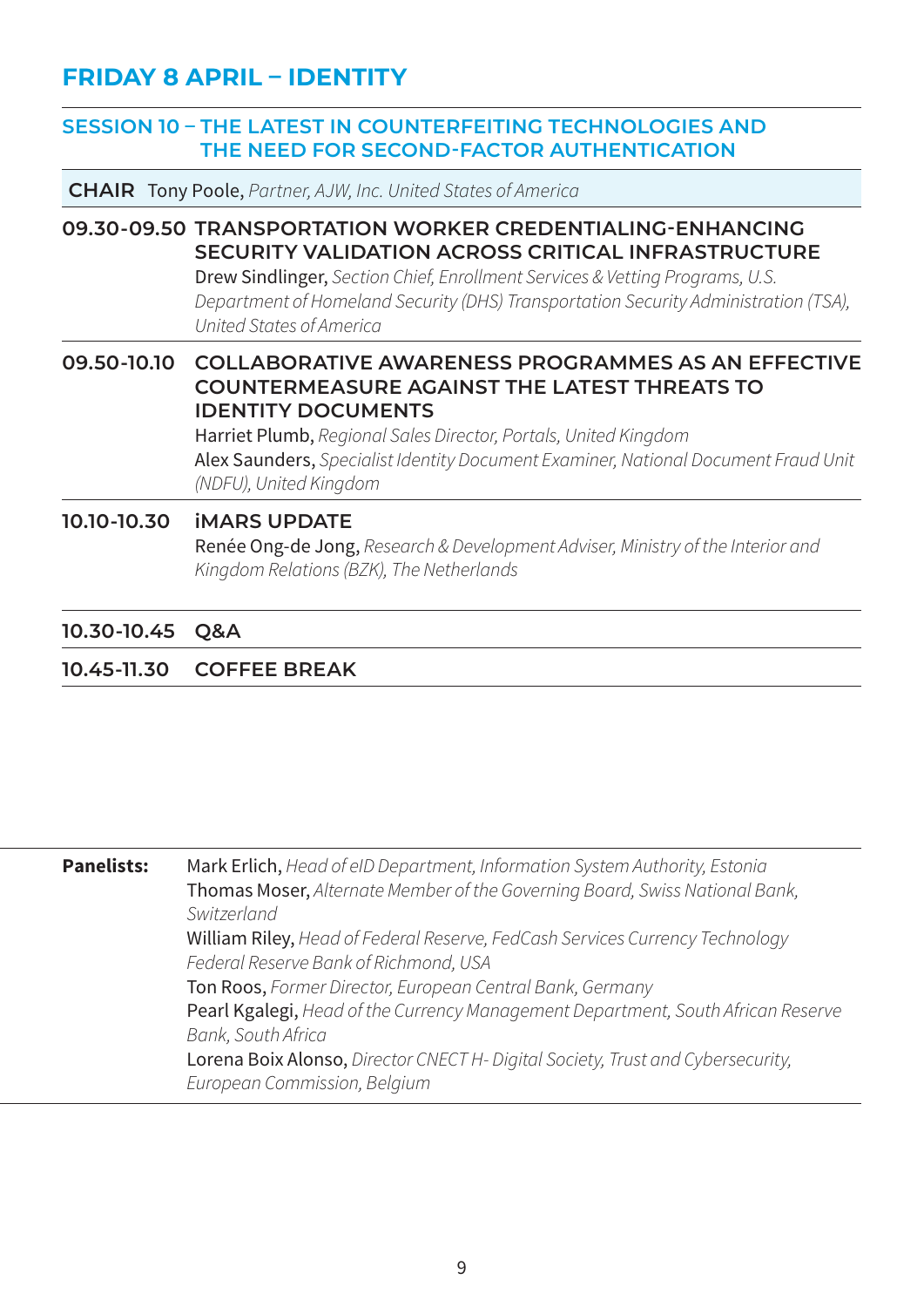# **FRIDAY 8 APRIL – IDENTITY**

#### **SESSION 10 – THE LATEST IN COUNTERFEITING TECHNOLOGIES AND THE NEED FOR SECOND-FACTOR AUTHENTICATION**

**CHAIR** Tony Poole, *Partner, AJW, Inc. United States of America*

#### **09.30-09.50 TRANSPORTATION WORKER CREDENTIALING-ENHANCING SECURITY VALIDATION ACROSS CRITICAL INFRASTRUCTURE** Drew Sindlinger, *Section Chief, Enrollment Services & Vetting Programs, U.S.*

*Department of Homeland Security (DHS) Transportation Security Administration (TSA), United States of America*

#### **09.50-10.10 COLLABORATIVE AWARENESS PROGRAMMES AS AN EFFECTIVE COUNTERMEASURE AGAINST THE LATEST THREATS TO IDENTITY DOCUMENTS**

Harriet Plumb, *Regional Sales Director, Portals, United Kingdom* Alex Saunders, *Specialist Identity Document Examiner, National Document Fraud Unit (NDFU), United Kingdom*

#### **10.10-10.30 iMARS UPDATE**

Renée Ong-de Jong, *Research & Development Adviser, Ministry of the Interior and Kingdom Relations (BZK), The Netherlands*

#### **10.30-10.45 Q&A**

#### **10.45-11.30 COFFEE BREAK**

#### **Panelists:** Mark Erlich, *Head of eID Department, Information System Authority, Estonia* Thomas Moser, *Alternate Member of the Governing Board, Swiss National Bank, Switzerland* William Riley, *Head of Federal Reserve, FedCash Services Currency Technology Federal Reserve Bank of Richmond, USA* Ton Roos, *Former Director, European Central Bank, Germany* Pearl Kgalegi, *Head of the Currency Management Department, South African Reserve Bank, South Africa* Lorena Boix Alonso, *Director CNECT H- Digital Society, Trust and Cybersecurity, European Commission, Belgium*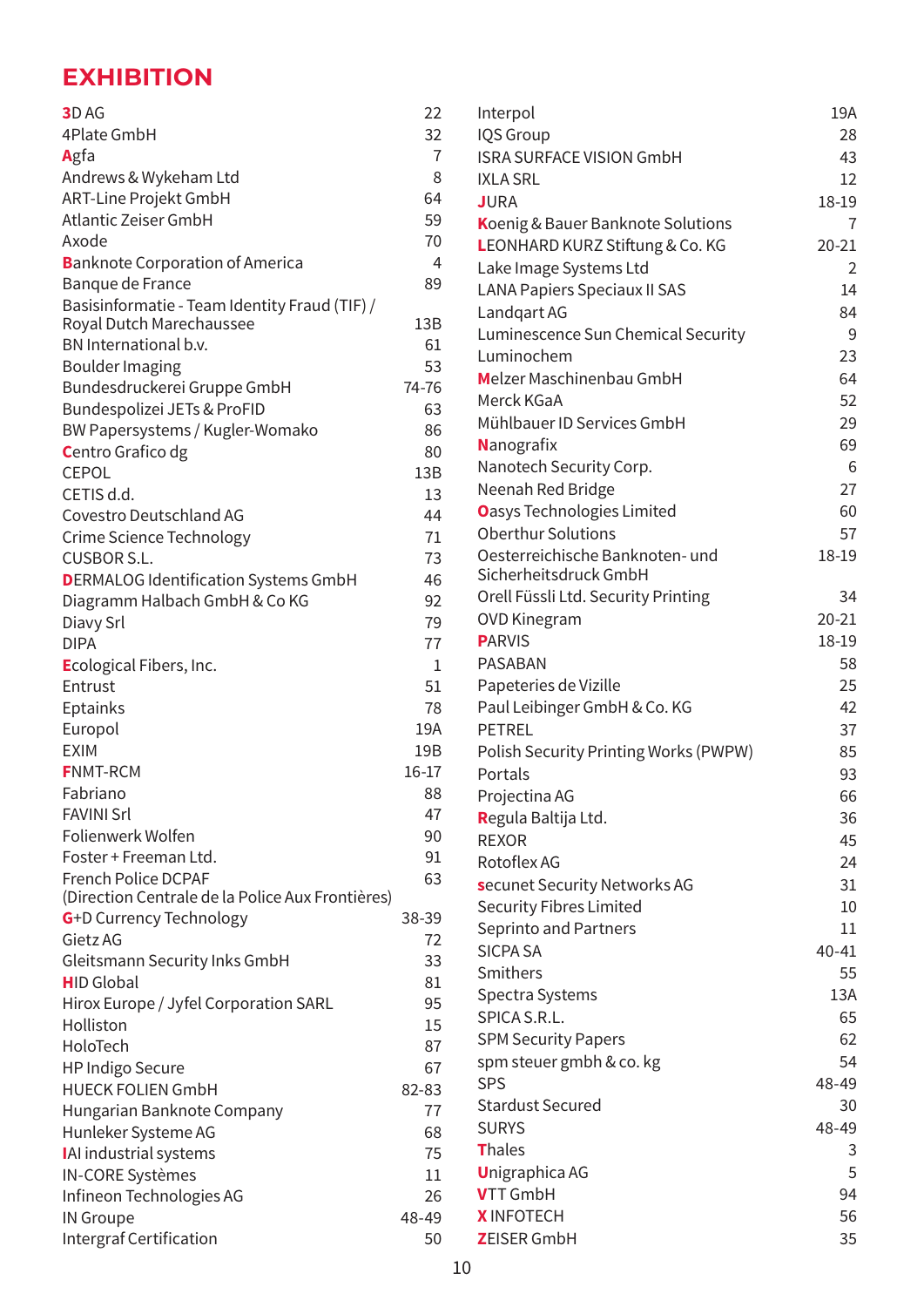# **EXHIBITION**

| 3D AG                                               | 22             |
|-----------------------------------------------------|----------------|
| 4Plate GmbH                                         | 32             |
| Agfa                                                | $\overline{7}$ |
| Andrews & Wykeham Ltd                               | 8              |
| <b>ART-Line Projekt GmbH</b>                        | 64             |
| Atlantic Zeiser GmbH                                | 59             |
| Axode                                               | 70             |
| <b>Banknote Corporation of America</b>              | $\overline{4}$ |
| Banque de France                                    | 89             |
| Basisinformatie - Team Identity Fraud (TIF) /       |                |
| Royal Dutch Marechaussee                            | 13B            |
| BN International b.v.                               | 61             |
| <b>Boulder Imaging</b>                              | 53             |
| Bundesdruckerei Gruppe GmbH                         | 74-76          |
| Bundespolizei JETs & ProFID                         | 63             |
| BW Papersystems / Kugler-Womako                     | 86             |
| <b>C</b> entro Grafico dg                           | 80             |
| CEPOL                                               | 13B            |
| CETIS d.d.                                          | 13             |
| Covestro Deutschland AG                             | 44             |
| Crime Science Technology                            | 71             |
| CUSBOR S.L.                                         | 73             |
| <b>DERMALOG Identification Systems GmbH</b>         | 46             |
| Diagramm Halbach GmbH & Co KG                       | 92             |
| Diavy Srl                                           | 79             |
| <b>DIPA</b>                                         | 77             |
| Ecological Fibers, Inc.                             | $\mathbf{1}$   |
| Entrust                                             | 51             |
| Eptainks                                            | 78             |
| Europol                                             | 19A            |
| <b>EXIM</b>                                         | 19B            |
| <b>FNMT-RCM</b>                                     | $16 - 17$      |
| Fabriano                                            | 88             |
| <b>FAVINI Srl</b>                                   | 47             |
| Folienwerk Wolfen                                   | 90             |
| Foster + Freeman Ltd.                               | 91             |
| <b>French Police DCPAF</b>                          | 63             |
| (Direction Centrale de la Police Aux Frontières)    |                |
| G+D Currency Technology                             | 38-39          |
| Gietz AG                                            | 72             |
| Gleitsmann Security Inks GmbH                       | 33             |
| <b>HID Global</b>                                   | 81             |
| Hirox Europe / Jyfel Corporation SARL               | 95             |
| Holliston                                           | 15             |
| HoloTech                                            | 87             |
|                                                     | 67             |
| <b>HP Indigo Secure</b><br><b>HUECK FOLIEN GmbH</b> |                |
|                                                     | 82-83          |
| Hungarian Banknote Company                          | 77             |
| Hunleker Systeme AG                                 | 68             |
| <b>IAI</b> industrial systems                       | 75             |
| IN-CORE Systèmes                                    | 11             |
| Infineon Technologies AG                            | 26             |
| <b>IN Groupe</b>                                    | 48-49          |
| Intergraf Certification                             | 50             |

| Interpol                              | 19A       |
|---------------------------------------|-----------|
| IQS Group                             | 28        |
| ISRA SURFACE VISION GmbH              | 43        |
| <b>IXLA SRL</b>                       | 12        |
| <b>JURA</b>                           | 18-19     |
| Koenig & Bauer Banknote Solutions     | 7         |
| LEONHARD KURZ Stiftung & Co. KG       | $20 - 21$ |
| Lake Image Systems Ltd                | 2         |
| <b>LANA Papiers Speciaux II SAS</b>   | 14        |
| Landgart AG                           | 84        |
| Luminescence Sun Chemical Security    | 9         |
| Luminochem                            | 23        |
| Melzer Maschinenbau GmbH              | 64        |
| Merck KGaA                            | 52        |
| Mühlbauer ID Services GmbH            | 29        |
| Nanografix                            | 69        |
| Nanotech Security Corp.               | 6         |
| Neenah Red Bridge                     | 27        |
| Oasys Technologies Limited            | 60        |
| <b>Oberthur Solutions</b>             | 57        |
| Oesterreichische Banknoten- und       | 18-19     |
| Sicherheitsdruck GmbH                 |           |
| Orell Füssli Ltd. Security Printing   | 34        |
| <b>OVD Kinegram</b>                   | $20 - 21$ |
| <b>PARVIS</b>                         | 18-19     |
| PASABAN                               | 58        |
| Papeteries de Vizille                 | 25        |
| Paul Leibinger GmbH & Co. KG          | 42        |
| PETREL                                | 37        |
| Polish Security Printing Works (PWPW) | 85        |
| Portals                               | 93        |
| Projectina AG                         | 66        |
| Regula Baltija Ltd.                   | 36        |
| <b>REXOR</b>                          | 45        |
| Rotoflex AG                           | 24        |
| secunet Security Networks AG          | 31        |
| Security Fibres Limited               | 10        |
| Seprinto and Partners                 | 11        |
| <b>SICPA SA</b>                       | $40 - 41$ |
| Smithers                              | 55        |
| Spectra Systems                       | 13A       |
| SPICA S.R.L.                          | 65        |
| <b>SPM Security Papers</b>            | 62        |
| spm steuer gmbh & co. kg              | 54        |
| SPS                                   | 48-49     |
| <b>Stardust Secured</b>               | 30        |
| <b>SURYS</b>                          | 48-49     |
| Thales                                | 3         |
| <b>Unigraphica AG</b>                 | 5         |
| <b>VTT GmbH</b>                       | 94        |
| <b>XINFOTECH</b>                      | 56        |
| <b>ZEISER GmbH</b>                    | 35        |
|                                       |           |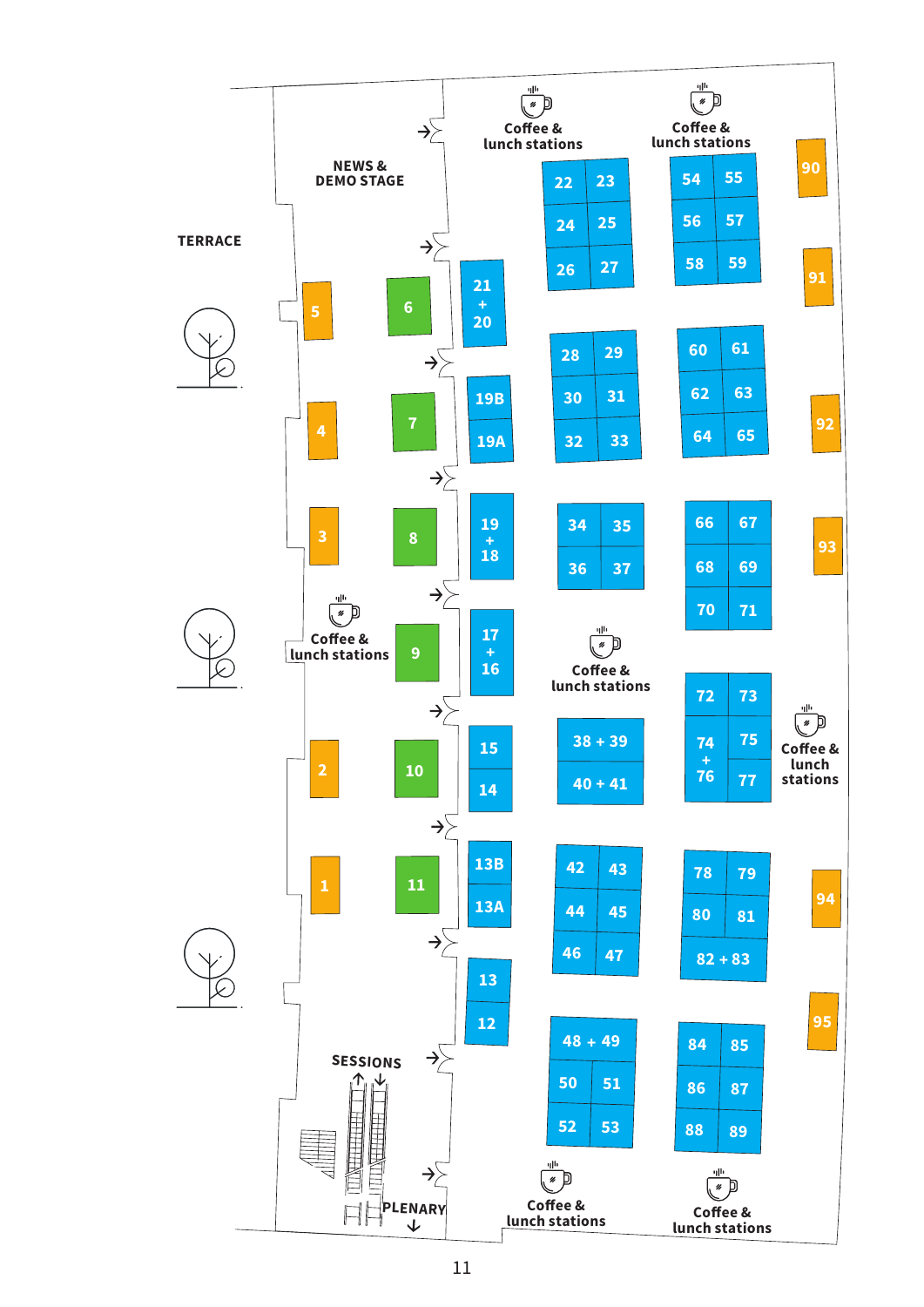